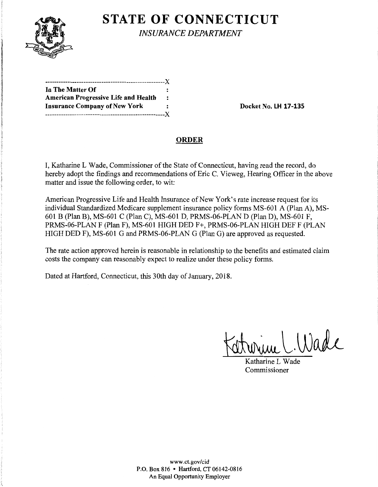

**STATE OF CONNECTICUT** 

*INSURANCE DEPARTMENT* 

| In The Matter Of                            |           |
|---------------------------------------------|-----------|
| <b>American Progressive Life and Health</b> | $\cdot$ : |
| <b>Insurance Company of New York</b>        | :         |
| .------------------------------X            |           |

**Insurance Company of New York Docket No. LH 17-135** 

## **ORDER**

I, Katharine L Wade, Commissioner of the State of Connecticut, having read the record, do hereby adopt the findings and recommendations of Eric C. Vieweg, Hearing Officer in the above matter and issue the following order, to wit:

American Progressive Life and Health Insurance of New York's rate increase request for its individual Standardized Medicare supplement insurance policy forms MS-601 A (Plan A), MS-601 B (Plan B), MS-601 C (Plan C), MS-601 D, PRMS-06-PLAN D (Plan D), MS-601 F, PRMS-06-PLAN F (Plan F), MS-601 HIGH DED F+, PRMS-06-PLAN HIGH DEF F (PLAN HIGH DED F), MS-601 G and PRMS-06-PLAN G (Plan G) are approved as requested.

The rate action approved herein is reasonable in relationship to the benefits and estimated claim costs the company can reasonably expect to realize under these policy forms.

Dated at Hartford, Connecticut, this 30th day of January, 2018.

 $\Lambda$ ade

Katharine L Wade Commissioner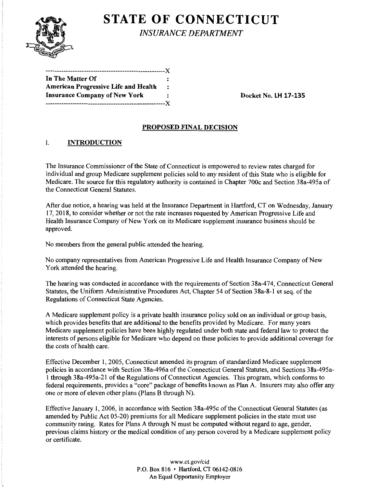

# **STATE OF CONNECTICUT**

*INSURANCE DEPARTMENT* 

| ------------------------------------X       |                      |
|---------------------------------------------|----------------------|
| In The Matter Of                            |                      |
| <b>American Progressive Life and Health</b> | $\ddot{\phantom{a}}$ |
| <b>Insurance Company of New York</b>        | $\ddot{\phantom{a}}$ |
|                                             |                      |

**Insurance Company of New York Docket No. LH 17-135** 

### **PROPOSED FINAL DECISION**

## I. **INTRODUCTION**

The Insurance Commissioner of the State of Connecticut is empowered to review rates charged for individual and group Medicare supplement policies sold to any resident of this State who is eligible for Medicare. The source for this regulatory authority is contained in Chapter 700c and Section 38a-495a of the Connecticut General Statutes.

After due notice, a hearing was held at the Insurance Department in Hartford, CT on Wednesday, January 17, 2018, to consider whether or not the rate increases requested by American Progressive Life and Health Insurance Company of New York on its Medicare supplement insurance business should be approved.

No members from the general public attended the hearing.

No company representatives from American Progressive Life and Health Insurance Company of New York attended the hearing.

The hearing was conducted in accordance with the requirements of Section 38a-474, Connecticut General Statutes, the Uniform Administrative Procedures Act, Chapter 54 of Section 38a-8-1 et seq. of the Regulations of Connecticut State Agencies.

A Medicare supplement policy is a private health insurance policy sold on an individual or group basis, which provides benefits that are additional to the benefits provided by Medicare. For many years Medicare supplement policies have been highly regulated under both state and federal law to protect the interests of persons eligible for Medicare who depend on these policies to provide additional coverage for the costs of health care.

Effective December 1, 2005, Connecticut amended its program of standardized Medicare supplement policies in accordance with Section 38a-496a of the Connecticut General Statutes, and Sections 38a-495a-1 through 38a-495a-21 of the Regulations of Connecticut Agencies. This program, which conforms to federal requirements, provides a "core" package of benefits known as Plan A. Insurers may also offer any one or more of eleven other plans (Plans B through N).

Effective January 1, 2006, in accordance with Section 38a-495c ofthe Connecticut General Statutes (as amended by Public Act 05-20) premiums for all Medicare supplement policies in the state must use community rating. Rates for Plans A through N must be computed without regard to age, gender, previous claims history or the medical condition of any person covered by a Medicare supplement policy or certificate.

> www.ct.gov/cid P.O. Box 816 • Hartford, CT 06142-0816 An Equal Opportunity Employer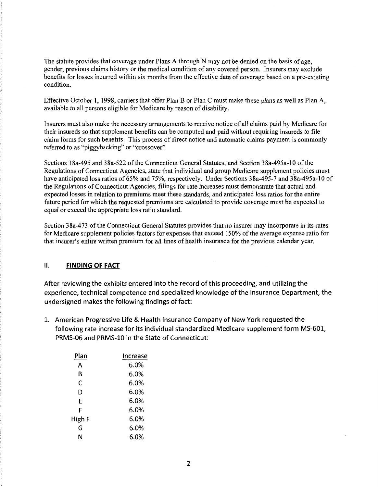The statute provides that coverage under Plans A through N may not be denied on the basis of age, gender, previous claims history or the medical condition of any covered person. Insurers may exclude benefits for losses incurred within six months from the effective date of coverage based on a pre-existing condition.

Effective October 1, 1998, carriers that offer Plan B or Plan C must make these plans as well as Plan A, available to all persons eligible for Medicare by reason of disability.

Insurers must also make the necessary arrangements to receive notice of all claims paid by Medicare for their insureds so that supplement benefits can be computed and paid without requiring insureds to file claim forms for such benefits. This process of direct notice and automatic claims payment is commonly referred to as "piggybacking" or "crossover".

Sections 38a-495 and 38a-522 of the Connecticut General Statutes, and Section 38a-495a-10 ofthe Regulations of Connecticut Agencies, state that individual and group Medicare supplement policies must have anticipated loss ratios of 65% and 75%, respectively. Under Sections 38a-495-7 and 38a-495a-10 of the Regulations of Connecticut Agencies, filings for rate increases must demonstrate that actual and expected losses in relation to premiums meet these standards, and anticipated loss ratios for the entire future period for which the requested premiums are calculated to provide coverage must be expected to equal or exceed the appropriate loss ratio standard.

Section 38a-473 of the Connecticut General Statutes provides that no insurer may incorporate in its rates for Medicare supplement policies factors for expenses that exceed 150% of the average expense ratio for that insurer's entire written premium for all lines of health insurance for the previous calendar year.

#### II. **FINDING OF FACT**

After reviewing the exhibits entered into the record of this proceeding, and utilizing the experience, technical competence and specialized knowledge of the Insurance Department, the undersigned makes the following findings of fact:

1. American Progressive Life & Health Insurance Company of New York requested the following rate increase for its individual standardized Medicare supplement form MS-601, PRMS-06 and PRMS-10 in the State of Connecticut:

| Plan   | Increase |
|--------|----------|
| А      | 6.0%     |
| в      | 6.0%     |
| C      | 6.0%     |
| D      | 6.0%     |
| E      | 6.0%     |
| F      | 6.0%     |
| High F | 6.0%     |
| G      | 6.0%     |
| Ν      | 6.0%     |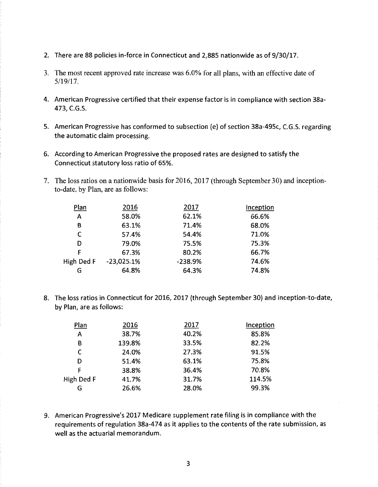- 2. There are 88 policies in-force in Connecticut and 2,885 nationwide as of 9/30/17.
- 3. The most recent approved rate increase was 6.0% for all plans, with an effective date of 5/19/17.
- 4. American Progressive certified that their expense factor is in compliance with section 38a-473, C.G.S.
- 5. American Progressive has conformed to subsection (e) of section 38a-495c, C.G.S. regarding the automatic claim processing.
- 6. According to American Progressive the proposed rates are designed to satisfy the Connecticut statutory loss ratio of 65%.
- 7. The loss ratios on a nationwide basis for 2016, 2017 (through September 30) and inceptionto-date, by Plan, are as follows:

| Plan       | 2016         | 2017      | Inception |
|------------|--------------|-----------|-----------|
| A          | 58.0%        | 62.1%     | 66.6%     |
| В          | 63.1%        | 71.4%     | 68.0%     |
| C          | 57.4%        | 54.4%     | 71.0%     |
| D          | 79.0%        | 75.5%     | 75.3%     |
| F          | 67.3%        | 80.2%     | 66.7%     |
| High Ded F | $-23,025.1%$ | $-238.9%$ | 74.6%     |
| G          | 64.8%        | 64.3%     | 74.8%     |
|            |              |           |           |

8. The loss ratios in Connecticut for 2016, 2017 (through September 30) and inception-to-date, by Plan, are as follows:

| Plan       | 2016   | 2017  | Inception |
|------------|--------|-------|-----------|
| A          | 38.7%  | 40.2% | 85.8%     |
| B          | 139.8% | 33.5% | 82.2%     |
| C          | 24.0%  | 27.3% | 91.5%     |
| D          | 51.4%  | 63.1% | 75.8%     |
| F          | 38.8%  | 36.4% | 70.8%     |
| High Ded F | 41.7%  | 31.7% | 114.5%    |
| G          | 26.6%  | 28.0% | 99.3%     |

9. American Progressive's 2017 Medicare supplement rate filing is in compliance with the requirements of regulation 38a-474 as it applies to the contents of the rate submission, as well as the actuarial memorandum.